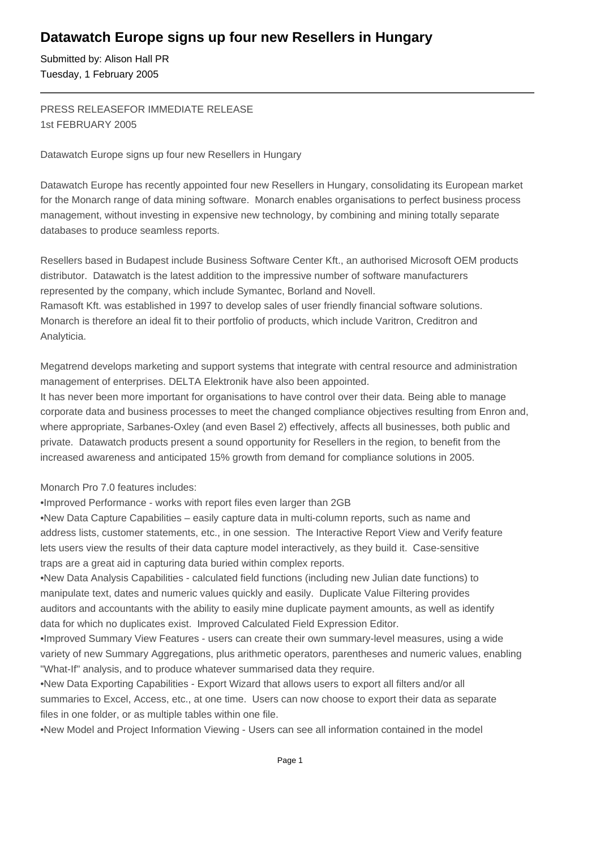## **Datawatch Europe signs up four new Resellers in Hungary**

Submitted by: Alison Hall PR Tuesday, 1 February 2005

PRESS RELEASE FOR IMMEDIATE RELEASE 1st FEBRUARY 2005

Datawatch Europe signs up four new Resellers in Hungary

Datawatch Europe has recently appointed four new Resellers in Hungary, consolidating its European market for the Monarch range of data mining software. Monarch enables organisations to perfect business process management, without investing in expensive new technology, by combining and mining totally separate databases to produce seamless reports.

Resellers based in Budapest include Business Software Center Kft., an authorised Microsoft OEM products distributor. Datawatch is the latest addition to the impressive number of software manufacturers represented by the company, which include Symantec, Borland and Novell. Ramasoft Kft. was established in 1997 to develop sales of user friendly financial software solutions. Monarch is therefore an ideal fit to their portfolio of products, which include Varitron, Creditron and Analyticia.

Megatrend develops marketing and support systems that integrate with central resource and administration management of enterprises. DELTA Elektronik have also been appointed.

It has never been more important for organisations to have control over their data. Being able to manage corporate data and business processes to meet the changed compliance objectives resulting from Enron and, where appropriate, Sarbanes-Oxley (and even Basel 2) effectively, affects all businesses, both public and private. Datawatch products present a sound opportunity for Resellers in the region, to benefit from the increased awareness and anticipated 15% growth from demand for compliance solutions in 2005.

Monarch Pro 7.0 features includes:

• Improved Performance - works with report files even larger than 2GB

• New Data Capture Capabilities – easily capture data in multi-column reports, such as name and address lists, customer statements, etc., in one session. The Interactive Report View and Verify feature lets users view the results of their data capture model interactively, as they build it. Case-sensitive traps are a great aid in capturing data buried within complex reports.

• New Data Analysis Capabilities - calculated field functions (including new Julian date functions) to manipulate text, dates and numeric values quickly and easily. Duplicate Value Filtering provides auditors and accountants with the ability to easily mine duplicate payment amounts, as well as identify data for which no duplicates exist. Improved Calculated Field Expression Editor.

• Improved Summary View Features - users can create their own summary-level measures, using a wide variety of new Summary Aggregations, plus arithmetic operators, parentheses and numeric values, enabling "What-If" analysis, and to produce whatever summarised data they require.

• New Data Exporting Capabilities - Export Wizard that allows users to export all filters and/or all summaries to Excel, Access, etc., at one time. Users can now choose to export their data as separate files in one folder, or as multiple tables within one file.

• New Model and Project Information Viewing - Users can see all information contained in the model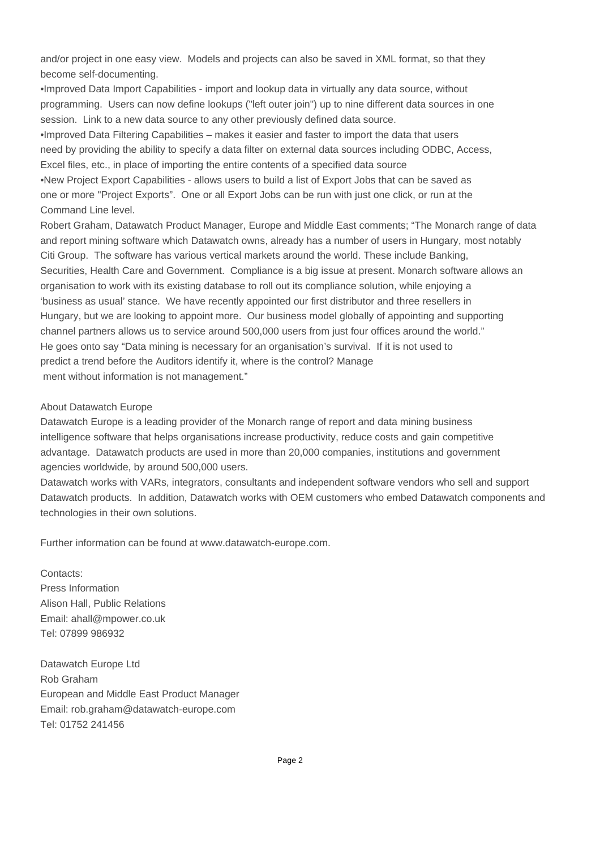and/or project in one easy view. Models and projects can also be saved in XML format, so that they become self-documenting.

• Improved Data Import Capabilities - import and lookup data in virtually any data source, without programming. Users can now define lookups ("left outer join") up to nine different data sources in one session. Link to a new data source to any other previously defined data source.

• Improved Data Filtering Capabilities – makes it easier and faster to import the data that users need by providing the ability to specify a data filter on external data sources including ODBC, Access, Excel files, etc., in place of importing the entire contents of a specified data source

• New Project Export Capabilities - allows users to build a list of Export Jobs that can be saved as one or more "Project Exports". One or all Export Jobs can be run with just one click, or run at the Command Line level.

Robert Graham, Datawatch Product Manager, Europe and Middle East comments; "The Monarch range of data and report mining software which Datawatch owns, already has a number of users in Hungary, most notably Citi Group. The software has various vertical markets around the world. These include Banking, Securities, Health Care and Government. Compliance is a big issue at present. Monarch software allows an organisation to work with its existing database to roll out its compliance solution, while enjoying a 'business as usual' stance. We have recently appointed our first distributor and three resellers in Hungary, but we are looking to appoint more. Our business model globally of appointing and supporting channel partners allows us to service around 500,000 users from just four offices around the world." He goes onto say "Data mining is necessary for an organisation's survival. If it is not used to predict a trend before the Auditors identify it, where is the control? Manage ment without information is not management."

## About Datawatch Europe

Datawatch Europe is a leading provider of the Monarch range of report and data mining business intelligence software that helps organisations increase productivity, reduce costs and gain competitive advantage. Datawatch products are used in more than 20,000 companies, institutions and government agencies worldwide, by around 500,000 users.

Datawatch works with VARs, integrators, consultants and independent software vendors who sell and support Datawatch products. In addition, Datawatch works with OEM customers who embed Datawatch components and technologies in their own solutions.

Further information can be found at www.datawatch-europe.com.

Contacts: Press Information Alison Hall, Public Relations Email: ahall@mpower.co.uk Tel: 07899 986932

Datawatch Europe Ltd Rob Graham European and Middle East Product Manager Email: rob.graham@datawatch-europe.com Tel: 01752 241456